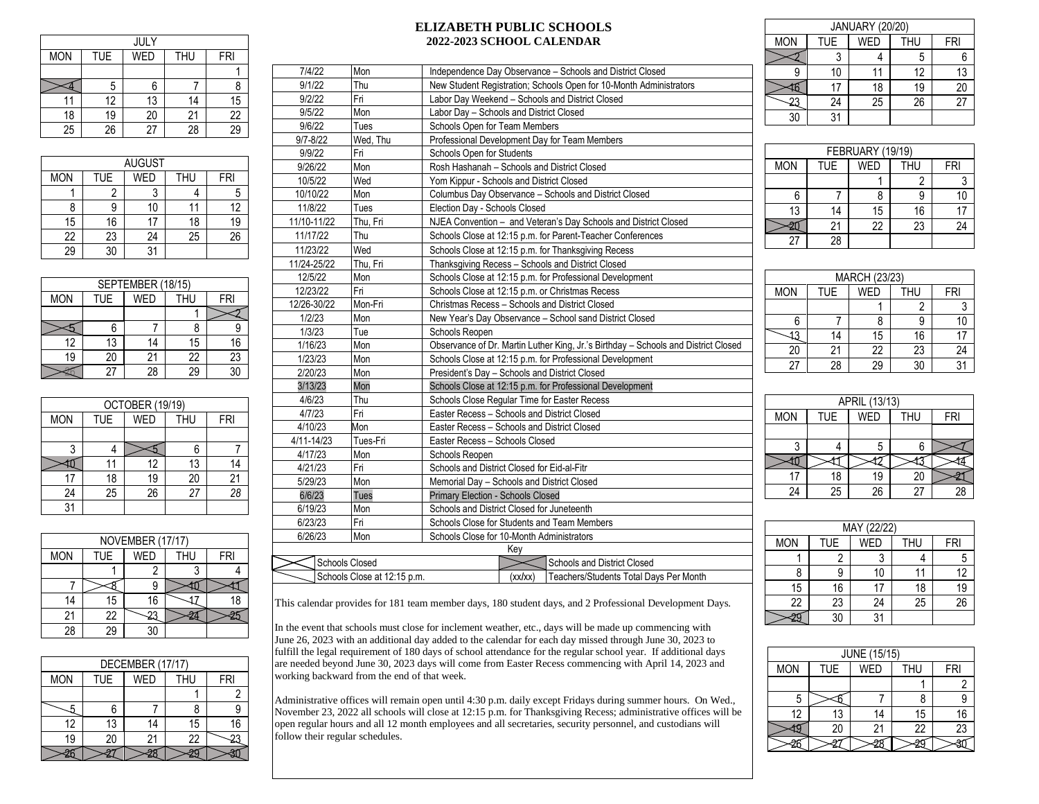| <b>ELIZABETH PUBLIC SCHOOLS</b> |
|---------------------------------|
| 2022-2023 SCHOOL CALENDAR       |

|            |            | JULY       |            |     |
|------------|------------|------------|------------|-----|
| <b>MON</b> | <b>TUE</b> | <b>WED</b> | <b>THU</b> | FRI |
|            |            |            |            |     |
|            | 5          | 6          |            |     |
|            | 12         | 13         | 14         | 15  |
| 18         | 19         | 20         | 21         | 22  |
| 25         | 26         | 27         | 28         | 29  |

| <b>AUGUST</b> |     |     |            |            |  |
|---------------|-----|-----|------------|------------|--|
| <b>MON</b>    | TUE | WED | <b>THU</b> | <b>FRI</b> |  |
|               |     |     |            | 5          |  |
|               | ë   | 10  | 11         | 12         |  |
| 15            | 16  | 17  | 18         | 19         |  |
| 22            | 23  | 24  | 25         | 26         |  |
| 29            | 30  | 31  |            |            |  |

| SEPTEMBER (18/15) |            |     |            |            |  |
|-------------------|------------|-----|------------|------------|--|
| <b>MON</b>        | <b>TUE</b> | WED | <b>THU</b> | <b>FRI</b> |  |
|                   |            |     |            |            |  |
|                   | 6          |     |            |            |  |
| 12                | 13         | 14  | 15         | 16         |  |
| 19                | 20         | 21  | 22         | 23         |  |
|                   | 27         | 28  | 29         | 30         |  |

| OCTOBER (19/19) |                 |            |            |     |  |
|-----------------|-----------------|------------|------------|-----|--|
| <b>MON</b>      | <b>TUE</b>      | <b>WED</b> | <b>THU</b> | FRI |  |
|                 |                 |            |            |     |  |
|                 |                 |            |            |     |  |
|                 |                 | 12         | 13         | 14  |  |
| $\blacksquare$  | 18              | 19         | 20         | 21  |  |
| 24              | $\overline{25}$ | 26         | 27         | 28  |  |
| 31              |                 |            |            |     |  |

| NOVEMBER (17/17) |            |            |            |            |  |
|------------------|------------|------------|------------|------------|--|
| <b>MON</b>       | <b>TUE</b> | <b>WED</b> | <b>THU</b> | <b>FRI</b> |  |
|                  |            |            |            |            |  |
|                  |            |            |            |            |  |
| 14               | 15         | 16         |            |            |  |
| 21               | 22         |            |            |            |  |
| 28               | 29         |            |            |            |  |

| DECEMBER (17/17) |            |     |            |            |
|------------------|------------|-----|------------|------------|
| <b>MON</b>       | <b>TUE</b> | WED | <b>THU</b> | <b>FRI</b> |
|                  |            |     |            |            |
|                  |            |     |            |            |
| 12               | 13         | 14  | 15         | 16         |
| 1.C              | 20         | 21  | 22         |            |
|                  |            |     |            |            |

| 7/4/22                                                        | Mon                         |                                               |                                                | Independence Day Observance - Schools and District Closed                          |  |
|---------------------------------------------------------------|-----------------------------|-----------------------------------------------|------------------------------------------------|------------------------------------------------------------------------------------|--|
| 9/1/22                                                        | Thu                         |                                               |                                                | New Student Registration; Schools Open for 10-Month Administrators                 |  |
| 9/2/22                                                        | Fri                         |                                               |                                                | Labor Day Weekend - Schools and District Closed                                    |  |
| 9/5/22                                                        | Mon                         | Labor Day - Schools and District Closed       |                                                |                                                                                    |  |
| 9/6/22                                                        | Tues                        | Schools Open for Team Members                 |                                                |                                                                                    |  |
| $9/7 - 8/22$                                                  | Wed, Thu                    |                                               |                                                | Professional Development Day for Team Members                                      |  |
| 9/9/22                                                        | Fri                         | Schools Open for Students                     |                                                |                                                                                    |  |
| 9/26/22                                                       | Mon                         | Rosh Hashanah - Schools and District Closed   |                                                |                                                                                    |  |
| 10/5/22                                                       | Wed                         | Yom Kippur - Schools and District Closed      |                                                |                                                                                    |  |
| 10/10/22                                                      | Mon                         |                                               |                                                | Columbus Day Observance - Schools and District Closed                              |  |
| 11/8/22                                                       | Tues                        | Election Day - Schools Closed                 |                                                |                                                                                    |  |
| 11/10-11/22                                                   | Thu, Fri                    |                                               |                                                | NJEA Convention - and Veteran's Day Schools and District Closed                    |  |
| 11/17/22                                                      | Thu                         |                                               |                                                | Schools Close at 12:15 p.m. for Parent-Teacher Conferences                         |  |
| 11/23/22                                                      | Wed                         |                                               |                                                | Schools Close at 12:15 p.m. for Thanksgiving Recess                                |  |
| 11/24-25/22                                                   | Thu, Fri                    |                                               |                                                | Thanksgiving Recess - Schools and District Closed                                  |  |
| 12/5/22                                                       | Mon                         |                                               |                                                | Schools Close at 12:15 p.m. for Professional Development                           |  |
| 12/23/22                                                      | Fri                         |                                               |                                                | Schools Close at 12:15 p.m. or Christmas Recess                                    |  |
| Mon-Fri<br>12/26-30/22                                        |                             |                                               | Christmas Recess - Schools and District Closed |                                                                                    |  |
| 1/2/23                                                        | Mon                         |                                               |                                                | New Year's Day Observance - School sand District Closed                            |  |
| 1/3/23                                                        | Tue                         | Schools Reopen                                |                                                |                                                                                    |  |
| 1/16/23                                                       | Mon                         |                                               |                                                | Observance of Dr. Martin Luther King, Jr.'s Birthday - Schools and District Closed |  |
| 1/23/23                                                       | Mon                         |                                               |                                                | Schools Close at 12:15 p.m. for Professional Development                           |  |
| 2/20/23                                                       | Mon                         | President's Day - Schools and District Closed |                                                |                                                                                    |  |
| 3/13/23                                                       | Mon                         |                                               |                                                | Schools Close at 12:15 p.m. for Professional Development                           |  |
| 4/6/23                                                        | Thu                         | Schools Close Regular Time for Easter Recess  |                                                |                                                                                    |  |
| 4/7/23                                                        | Fri                         | Easter Recess - Schools and District Closed   |                                                |                                                                                    |  |
| 4/10/23                                                       | Mon                         | Easter Recess - Schools and District Closed   |                                                |                                                                                    |  |
| 4/11-14/23                                                    | Tues-Fri                    | Easter Recess - Schools Closed                |                                                |                                                                                    |  |
| 4/17/23                                                       | Mon                         | Schools Reopen                                |                                                |                                                                                    |  |
| 4/21/23                                                       | Fri                         | Schools and District Closed for Eid-al-Fitr   |                                                |                                                                                    |  |
| 5/29/23                                                       | Mon                         |                                               | Memorial Day - Schools and District Closed     |                                                                                    |  |
| 6/6/23<br><b>Primary Election - Schools Closed</b><br>Tues    |                             |                                               |                                                |                                                                                    |  |
| 6/19/23                                                       | Mon                         | Schools and District Closed for Juneteenth    |                                                |                                                                                    |  |
| 6/23/23<br>Fri<br>Schools Close for Students and Team Members |                             |                                               |                                                |                                                                                    |  |
| 6/26/23                                                       | Mon                         | Schools Close for 10-Month Administrators     |                                                |                                                                                    |  |
|                                                               |                             |                                               | Key                                            |                                                                                    |  |
|                                                               | Schools Closed              |                                               |                                                | Schools and District Closed                                                        |  |
|                                                               | Schools Close at 12:15 p.m. |                                               | (xx/xx)                                        | Teachers/Students Total Days Per Month                                             |  |

| <b>JANUARY (20/20)</b> |            |            |     |            |  |
|------------------------|------------|------------|-----|------------|--|
| <b>MON</b>             | <b>TUE</b> | <b>WED</b> | THU | <b>FRI</b> |  |
|                        |            |            |     |            |  |
|                        | 10         |            | 12  | 13         |  |
|                        |            | 18         | 19  | 20         |  |
|                        | 24         | 25         | 26  | 27         |  |
| 30                     |            |            |     |            |  |

| FEBRUARY (19/19) |            |     |            |     |  |
|------------------|------------|-----|------------|-----|--|
| <b>MON</b>       | <b>TUE</b> | WED | <b>THU</b> | FRI |  |
|                  |            |     |            |     |  |
|                  |            |     |            |     |  |
| 13               | 14         | 15  | 16         | 17  |  |
|                  | 21         | 22  | 23         | 24  |  |
| 27               | 28         |     |            |     |  |

|            | MARCH (23/23) |            |            |     |  |  |
|------------|---------------|------------|------------|-----|--|--|
| <b>MON</b> | <b>TUE</b>    | <b>WED</b> | <b>THU</b> | FRI |  |  |
|            |               |            |            |     |  |  |
|            |               |            |            | 10  |  |  |
|            | 14            | 15         | 16         | 17  |  |  |
| 20         | 21            | 22         | 23         | 24  |  |  |
| 27         | 28            | 29         | 30         |     |  |  |

| APRIL (13/13) |            |            |            |     |  |
|---------------|------------|------------|------------|-----|--|
| <b>MON</b>    | <b>TUE</b> | <b>WED</b> | <b>THU</b> | FRI |  |
|               |            |            |            |     |  |
|               |            | 5          |            |     |  |
|               |            |            |            |     |  |
|               | 18         | 19         | 20         |     |  |
| 24            | 25         | 26         | 27         | 28  |  |

| MAY (22/22) |            |            |            |            |  |  |  |
|-------------|------------|------------|------------|------------|--|--|--|
| <b>MON</b>  | <b>TUE</b> | <b>WED</b> | <b>THU</b> | <b>FRI</b> |  |  |  |
|             | 2          |            |            |            |  |  |  |
|             |            | 10         | 11         | 12         |  |  |  |
| 15          | 16         | 17         | 18         | 19         |  |  |  |
| 22          | 23         | 24         | 25         | 26         |  |  |  |
|             | 30         | 31         |            |            |  |  |  |

| JUNE (15/15) |                                        |    |    |    |  |  |
|--------------|----------------------------------------|----|----|----|--|--|
| <b>MON</b>   | <b>WED</b><br>TUE<br><b>THU</b><br>FRI |    |    |    |  |  |
|              |                                        |    |    |    |  |  |
| 5            |                                        |    |    |    |  |  |
| 12           | 13                                     |    | 15 | 16 |  |  |
|              | 20                                     | 21 | 22 | 23 |  |  |
|              |                                        |    |    |    |  |  |

This calendar provides for 181 team member days, 180 student days, and 2 Professional Development Days.

In the event that schools must close for inclement weather, etc., days will be made up commencing with June 26, 2023 with an additional day added to the calendar for each day missed through June 30, 2023 to fulfill the legal requirement of 180 days of school attendance for the regular school year. If additional days are needed beyond June 30, 2023 days will come from Easter Recess commencing with April 14, 2023 and working backward from the end of that week.

Administrative offices will remain open until 4:30 p.m. daily except Fridays during summer hours. On Wed., November 23, 2022 all schools will close at 12:15 p.m. for Thanksgiving Recess; administrative offices will be open regular hours and all 12 month employees and all secretaries, security personnel, and custodians will follow their regular schedules.